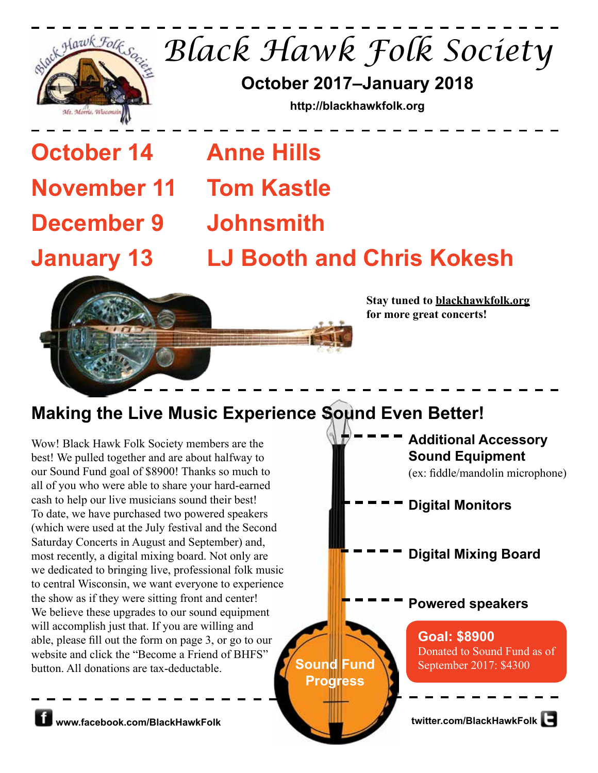

*Black Hawk Folk Society*

**October 2017–January 2018**

**http://blackhawkfolk.org**

**October 14 Anne Hills November 11 Tom Kastle December 9 Johnsmith**

**January 13 LJ Booth and Chris Kokesh**



**Stay tuned to blackhawkfolk.org for more great concerts!**

## **Making the Live Music Experience Sound Even Better!**

Wow! Black Hawk Folk Society members are the best! We pulled together and are about halfway to our Sound Fund goal of \$8900! Thanks so much to all of you who were able to share your hard-earned cash to help our live musicians sound their best! To date, we have purchased two powered speakers (which were used at the July festival and the Second Saturday Concerts in August and September) and, most recently, a digital mixing board. Not only are we dedicated to bringing live, professional folk music to central Wisconsin, we want everyone to experience the show as if they were sitting front and center! We believe these upgrades to our sound equipment will accomplish just that. If you are willing and able, please fill out the form on page 3, or go to our website and click the "Become a Friend of BHFS" button. All donations are tax-deductable.

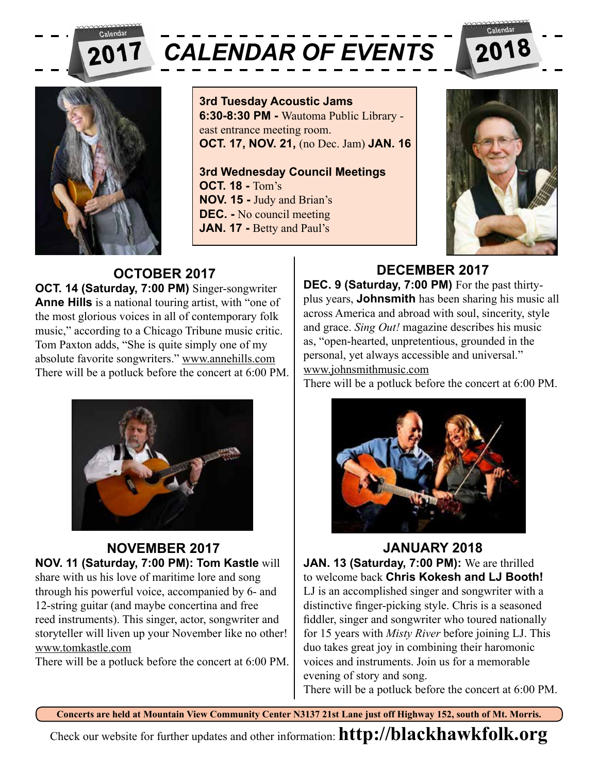

# *CALENDAR OF EVENTS*



**3rd Tuesday Acoustic Jams 6:30-8:30 PM -** Wautoma Public Library east entrance meeting room. **OCT. 17, NOV. 21,** (no Dec. Jam) **JAN. 16**

**3rd Wednesday Council Meetings OCT. 18 -** Tom's **NOV. 15 -** Judy and Brian's **DEC. -** No council meeting **JAN. 17 - Betty and Paul's** 



#### **OCTOBER 2017 OCT. 14 (Saturday, 7:00 PM)** Singer-songwriter **Anne Hills** is a national touring artist, with "one of the most glorious voices in all of contemporary folk music," according to a Chicago Tribune music critic. Tom Paxton adds, "She is quite simply one of my absolute favorite songwriters." www.annehills.com There will be a potluck before the concert at 6:00 PM.



#### **NOVEMBER 2017 NOV. 11 (Saturday, 7:00 PM): Tom Kastle** will share with us his love of maritime lore and song through his powerful voice, accompanied by 6- and 12-string guitar (and maybe concertina and free reed instruments). This singer, actor, songwriter and storyteller will liven up your November like no other! www.tomkastle.com

There will be a potluck before the concert at 6:00 PM.

#### **DECEMBER 2017 DEC. 9 (Saturday, 7:00 PM)** For the past thirtyplus years, **Johnsmith** has been sharing his music all across America and abroad with soul, sincerity, style and grace. *Sing Out!* magazine describes his music as, "open-hearted, unpretentious, grounded in the personal, yet always accessible and universal." www.johnsmithmusic.com

There will be a potluck before the concert at 6:00 PM.



## **JANUARY 2018**

**JAN. 13 (Saturday, 7:00 PM):** We are thrilled to welcome back **Chris Kokesh and LJ Booth!** LJ is an accomplished singer and songwriter with a distinctive finger-picking style. Chris is a seasoned fiddler, singer and songwriter who toured nationally for 15 years with *Misty River* before joining LJ. This duo takes great joy in combining their haromonic voices and instruments. Join us for a memorable evening of story and song.

There will be a potluck before the concert at 6:00 PM.

**Concerts are held at Mountain View Community Center N3137 21st Lane just off Highway 152, south of Mt. Morris.**

Check our website for further updates and other information: **http://blackhawkfolk.org**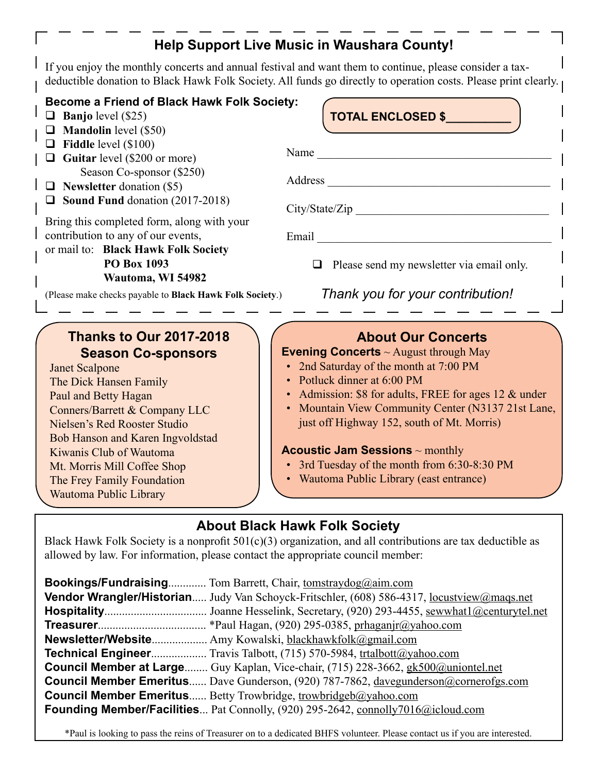## **Help Support Live Music in Waushara County!**

If you enjoy the monthly concerts and annual festival and want them to continue, please consider a taxdeductible donation to Black Hawk Folk Society. All funds go directly to operation costs. Please print clearly.

#### **Become a Friend of Black Hawk Folk Society:**

- **Banjo** level (\$25)
- **Mandolin** level (\$50)
- **Fiddle** level (\$100)
- Guitar level (\$200 or more) Season Co-sponsor (\$250)
- **Newsletter** donation (\$5)
- **Sound Fund** donation (2017-2018)

Bring this completed form, along with your contribution to any of our events,

or mail to: **Black Hawk Folk Society PO Box 1093 Wautoma, WI 54982**

(Please make checks payable to **Black Hawk Folk Society**.)

#### **Thanks to Our 2017-2018 Season Co-sponsors**

Janet Scalpone The Dick Hansen Family Paul and Betty Hagan Conners/Barrett & Company LLC Nielsen's Red Rooster Studio Bob Hanson and Karen Ingvoldstad Kiwanis Club of Wautoma Mt. Morris Mill Coffee Shop The Frey Family Foundation Wautoma Public Library

#### **TOTAL ENCLOSED \$\_\_\_\_\_\_\_\_\_\_**

| Name                                             |
|--------------------------------------------------|
| Address                                          |
| City/State/Zip                                   |
| Email                                            |
| $\Box$ Please send my newsletter via email only. |
| Thank you for your contribution!                 |
|                                                  |

#### **About Our Concerts**

**Evening Concerts** ~ August through May

- 2nd Saturday of the month at 7:00 PM
- Potluck dinner at 6:00 PM
- Admission: \$8 for adults, FREE for ages 12 & under
- Mountain View Community Center (N3137 21st Lane, just off Highway 152, south of Mt. Morris)

#### **Acoustic Jam Sessions** ~ monthly

- 3rd Tuesday of the month from 6:30-8:30 PM
- Wautoma Public Library (east entrance)

#### **About Black Hawk Folk Society**

Black Hawk Folk Society is a nonprofit  $501(c)(3)$  organization, and all contributions are tax deductible as allowed by law. For information, please contact the appropriate council member:

| <b>Bookings/Fundraising</b> Tom Barrett, Chair, tomstraydog@aim.com                         |
|---------------------------------------------------------------------------------------------|
| Vendor Wrangler/Historian Judy Van Schoyck-Fritschler, (608) 586-4317, locustyiew@maqs.net  |
|                                                                                             |
|                                                                                             |
|                                                                                             |
| <b>Technical Engineer</b> Travis Talbott, (715) 570-5984, trtalbott@yahoo.com               |
| <b>Council Member at Large</b> Guy Kaplan, Vice-chair, (715) 228-3662, gk500@uniontel.net   |
| <b>Council Member Emeritus</b> Dave Gunderson, (920) 787-7862, davegunderson@cornerofgs.com |
| <b>Council Member Emeritus</b> Betty Trowbridge, trowbridgeb@yahoo.com                      |
| Founding Member/Facilities Pat Connolly, (920) 295-2642, connolly7016@icloud.com            |

\*Paul is looking to pass the reins of Treasurer on to a dedicated BHFS volunteer. Please contact us if you are interested.